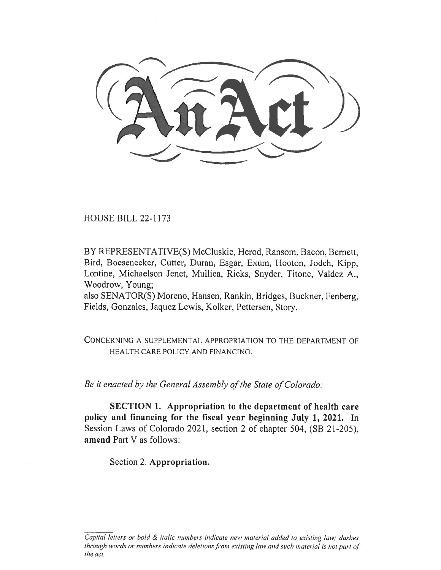HOUSE BILL 22-1173

BY REPRESENTATIVE(S) McCluskie, Herod, Ransom, Bacon, Bernett, Bird, Boesenecker, Cutter, Duran, Esgar, Exum, Hooton, Jodeh, Kipp, Lontine, Michaelson Jenet, Mullica, Ricks, Snyder, Titone, Valdez A., Woodrow, Young;

also SENATOR(S) Moreno, Hansen, Rankin, Bridges, Buckner, Fenberg, Fields, Gonzales, Jaquez Lewis, Kolker, Pettersen, Story.

CONCERNING A SUPPLEMENTAL APPROPRIATION TO THE DEPARTMENT OF HEALTH CARE POLICY AND FINANCING.

Be it enacted by the General Assembly of the State of Colorado:

SECTION 1. Appropriation to the department of health care policy and financing for the fiscal year beginning July 1, 2021. In Session Laws of Colorado 2021, section 2 of chapter 504, (SB 21-205), amend Part V as follows:

Section 2. Appropriation.

Capital letters or bold & italic numbers indicate new material added to existing law; dashes through words or numbers indicate deletions from existing law and such material is not part of the act.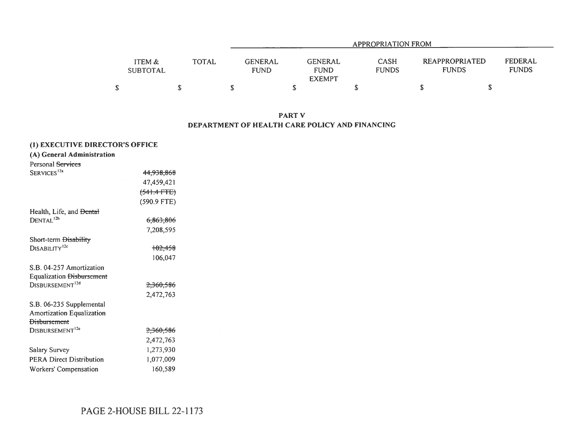| APPROPRIATION FROM        |              |                               |                                                |                             |  |                                                                         |  |  |  |  |
|---------------------------|--------------|-------------------------------|------------------------------------------------|-----------------------------|--|-------------------------------------------------------------------------|--|--|--|--|
| ITEM &<br><b>SUBTOTAL</b> | <b>TOTAL</b> | <b>GENERAL</b><br><b>FUND</b> | <b>GENERAL</b><br><b>FUND</b><br><b>EXEMPT</b> | <b>CASH</b><br><b>FUNDS</b> |  | <b>FEDERAL</b><br><b>REAPPROPRIATED</b><br><b>FUNDS</b><br><b>FUNDS</b> |  |  |  |  |
|                           |              |                               |                                                |                             |  |                                                                         |  |  |  |  |

PART V DEPARTMENT OF HEALTH CARE POLICY AND FINANCING

|                                     | (1) EXECUTIVE DIRECTOR'S OFFICE |  |  |  |  |  |  |  |  |  |
|-------------------------------------|---------------------------------|--|--|--|--|--|--|--|--|--|
| (A) General Administration          |                                 |  |  |  |  |  |  |  |  |  |
| Personal Services                   |                                 |  |  |  |  |  |  |  |  |  |
| SERVICES <sup>12a</sup>             | <del>44,938,868</del>           |  |  |  |  |  |  |  |  |  |
|                                     | 47,459,421                      |  |  |  |  |  |  |  |  |  |
|                                     | $(541.4$ FTE)                   |  |  |  |  |  |  |  |  |  |
|                                     | (590.9 FTE)                     |  |  |  |  |  |  |  |  |  |
| Health, Life, and <del>Dental</del> |                                 |  |  |  |  |  |  |  |  |  |
| DENTAL <sup>12b</sup>               | <del>6.863.806</del>            |  |  |  |  |  |  |  |  |  |
|                                     | 7.208.595                       |  |  |  |  |  |  |  |  |  |
| Short-term <del>Disability</del>    |                                 |  |  |  |  |  |  |  |  |  |
| DISABILITY <sup>12c</sup>           | <del>102.458</del>              |  |  |  |  |  |  |  |  |  |
|                                     | 106,047                         |  |  |  |  |  |  |  |  |  |
| S.B. 04-257 Amortization            |                                 |  |  |  |  |  |  |  |  |  |
| <b>Equalization Disbursement</b>    |                                 |  |  |  |  |  |  |  |  |  |
| DISBURSEMENT <sup>12d</sup>         | <del>2,360,586</del>            |  |  |  |  |  |  |  |  |  |
|                                     | 2,472,763                       |  |  |  |  |  |  |  |  |  |
| S.B. 06-235 Supplemental            |                                 |  |  |  |  |  |  |  |  |  |
| <b>Amortization Equalization</b>    |                                 |  |  |  |  |  |  |  |  |  |
| <b>Disbursement</b>                 |                                 |  |  |  |  |  |  |  |  |  |
| DISBURSEMENT <sup>12e</sup>         | <del>2,360,586</del>            |  |  |  |  |  |  |  |  |  |
|                                     | 2,472,763                       |  |  |  |  |  |  |  |  |  |
| <b>Salary Survey</b>                | 1,273,930                       |  |  |  |  |  |  |  |  |  |
| <b>PERA Direct Distribution</b>     | 1,077,009                       |  |  |  |  |  |  |  |  |  |
| <b>Workers' Compensation</b>        | 160,589                         |  |  |  |  |  |  |  |  |  |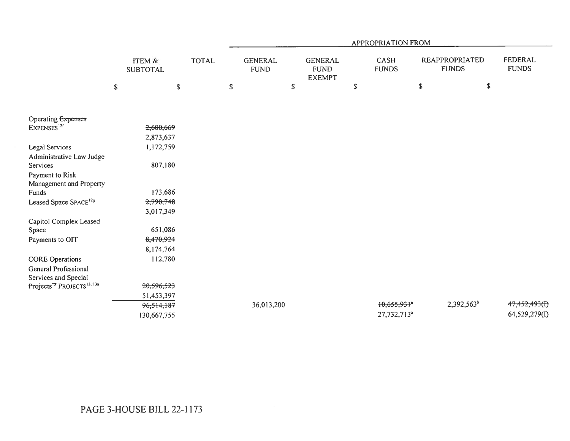|                                                    |                                      |              |                               |             |                                                |             | <b>APPROPRIATION FROM</b>   |               |                                       |                                |
|----------------------------------------------------|--------------------------------------|--------------|-------------------------------|-------------|------------------------------------------------|-------------|-----------------------------|---------------|---------------------------------------|--------------------------------|
|                                                    | <b>ITEM &amp;</b><br><b>SUBTOTAL</b> | <b>TOTAL</b> | <b>GENERAL</b><br><b>FUND</b> |             | <b>GENERAL</b><br><b>FUND</b><br><b>EXEMPT</b> |             | <b>CASH</b><br><b>FUNDS</b> |               | <b>REAPPROPRIATED</b><br><b>FUNDS</b> | <b>FEDERAL</b><br><b>FUNDS</b> |
|                                                    | \$<br>$\mathbb S$                    |              | \$                            | $\mathbb S$ |                                                | $\mathbb S$ |                             | ${\mathbb S}$ | $\mathbb S$                           |                                |
|                                                    |                                      |              |                               |             |                                                |             |                             |               |                                       |                                |
| Operating Expenses                                 |                                      |              |                               |             |                                                |             |                             |               |                                       |                                |
| EXPENSES <sup>12f</sup>                            | 2,600,669                            |              |                               |             |                                                |             |                             |               |                                       |                                |
|                                                    | 2,873,637                            |              |                               |             |                                                |             |                             |               |                                       |                                |
| <b>Legal Services</b>                              | 1,172,759                            |              |                               |             |                                                |             |                             |               |                                       |                                |
| Administrative Law Judge                           |                                      |              |                               |             |                                                |             |                             |               |                                       |                                |
| Services                                           | 807,180                              |              |                               |             |                                                |             |                             |               |                                       |                                |
| Payment to Risk                                    |                                      |              |                               |             |                                                |             |                             |               |                                       |                                |
| Management and Property                            |                                      |              |                               |             |                                                |             |                             |               |                                       |                                |
| Funds                                              | 173,686                              |              |                               |             |                                                |             |                             |               |                                       |                                |
| Leased Space SPACE <sup>12g</sup>                  | 2,790,748                            |              |                               |             |                                                |             |                             |               |                                       |                                |
|                                                    | 3,017,349                            |              |                               |             |                                                |             |                             |               |                                       |                                |
| Capitol Complex Leased                             |                                      |              |                               |             |                                                |             |                             |               |                                       |                                |
| Space                                              | 651,086                              |              |                               |             |                                                |             |                             |               |                                       |                                |
| Payments to OIT                                    | 8,470,924                            |              |                               |             |                                                |             |                             |               |                                       |                                |
|                                                    | 8,174,764                            |              |                               |             |                                                |             |                             |               |                                       |                                |
| <b>CORE</b> Operations                             | 112,780                              |              |                               |             |                                                |             |                             |               |                                       |                                |
| General Professional                               |                                      |              |                               |             |                                                |             |                             |               |                                       |                                |
| Services and Special                               |                                      |              |                               |             |                                                |             |                             |               |                                       |                                |
| Projects <sup>13</sup> PROJECTS <sup>13, 13a</sup> | 20,596,523                           |              |                               |             |                                                |             |                             |               |                                       |                                |
|                                                    | 51,453,397                           |              |                               |             |                                                |             |                             |               |                                       |                                |
|                                                    | 96,514,187                           |              | 36,013,200                    |             |                                                |             | $+0,655,93 +$ <sup>*</sup>  |               | 2,392,563 <sup>b</sup>                | 47,452,493(I)                  |
|                                                    | 130,667,755                          |              |                               |             |                                                |             | 27,732,713 <sup>a</sup>     |               |                                       | 64,529,279(I)                  |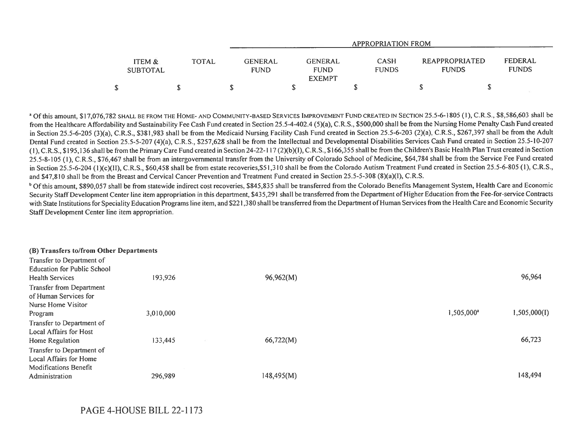|                           |       | APPROPRIATION FROM                                                       |                             |  |                                                           |  |  |  |  |
|---------------------------|-------|--------------------------------------------------------------------------|-----------------------------|--|-----------------------------------------------------------|--|--|--|--|
| ITEM &<br><b>SUBTOTAL</b> | TOTAL | <b>GENERAL</b><br>GENERAL<br><b>FUND</b><br><b>FUND</b><br><b>EXEMPT</b> | <b>CASH</b><br><b>FUNDS</b> |  | FEDERAL<br>REAPPROPRIATED<br><b>FUNDS</b><br><b>FUNDS</b> |  |  |  |  |
| \$                        |       |                                                                          |                             |  |                                                           |  |  |  |  |

<sup>a</sup> Of this amount, \$17,076,782 SHALL BE FROM THE HOME- AND COMMUNITY-BASED SERVICES IMPROVEMENT FUND CREATED IN SECTION 25.5-6-1805 (1), C.R.S., \$8,586,603 shall be from the Healthcare Affordability and Sustainability Fee Cash Fund created in Section 25.5-4-402.4 (5)(a), C.R.S., \$500,000 shall be from the Nursing Home Penalty Cash Fund created in Section 25.5-6-205 (3)(a), C.R.S., \$381,983 shall be from the Medicaid Nursing Facility Cash Fund created in Section 25.5-6-203 (2)(a), C.R.S., \$267,397 shall be from the Adult Dental Fund created in Section 25.5-5-207 (4)(a), C.R.S., \$257,628 shall be from the Intellectual and Developmental Disabilities Services Cash Fund created in Section 25.5-10-207 (I), C.R.S., \$195,136 shall be from the Primary Care Fund created in Section 24-22-117 (2)(b)(I), C.R.S., \$166,355 shall be from the Children's Basic Health Plan Trust created in Section 25.5-8-105 (1), C.R.S., \$76,467 shall be from an intergovernmental transfer from the University of Colorado School of Medicine, \$64,784 shall be from the Service Fee Fund created in Section 25.5-6-204 (1)(c)(II), C.R.S., \$60,458 shall be from estate recoveries,\$51,310 shall be from the Colorado Autism Treatment Fund created in Section 25.5-6-805 (1), C.R.S., and \$47,810 shall be from the Breast and Cervical Cancer Prevention and Treatment Fund created in Section 25.5-5-308 (8)(a)(I), C.R.S.

<sup>b</sup> Of this amount, \$890,057 shall be from statewide indirect cost recoveries, \$845,835 shall be transferred from the Colorado Benefits Management System, Health Care and Economic Security Staff Development Center line item appropriation in this department, \$435,291 shall be transferred from the Department of Higher Education from the Fee-for-service Contracts with State Institutions for Speciality Education Programs line item, and \$221,380 shall be transferred from the Department of Human Services from the Health Care and Economic Security Staff Development Center line item appropriation.

| (B) Transfers to/from Other Departments |           |            |                        |              |
|-----------------------------------------|-----------|------------|------------------------|--------------|
| Transfer to Department of               |           |            |                        |              |
| <b>Education for Public School</b>      |           |            |                        |              |
| <b>Health Services</b>                  | 193,926   | 96,962(M)  |                        | 96,964       |
| <b>Transfer from Department</b>         |           |            |                        |              |
| of Human Services for                   |           |            |                        |              |
| Nurse Home Visitor                      |           |            |                        |              |
| Program                                 | 3,010,000 |            | 1,505,000 <sup>a</sup> | 1,505,000(I) |
| Transfer to Department of               |           |            |                        |              |
| Local Affairs for Host                  |           |            |                        |              |
| Home Regulation                         | 133,445   | 66,722(M)  |                        | 66,723       |
| Transfer to Department of               |           |            |                        |              |
| Local Affairs for Home                  |           |            |                        |              |
| <b>Modifications Benefit</b>            |           |            |                        |              |
| Administration                          | 296,989   | 148,495(M) |                        | 148,494      |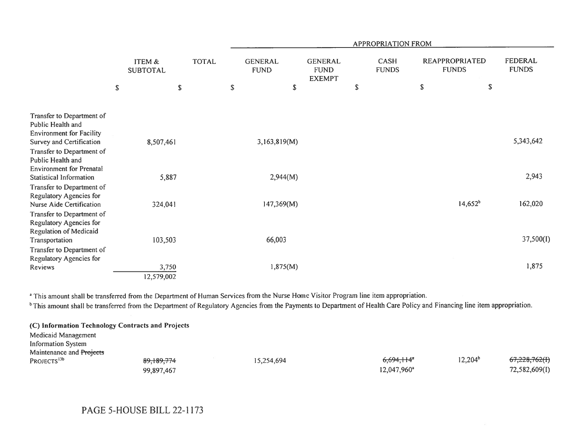|                                                                                                                                              |                           |              |                               |              |                                                | <b>APPROPRIATION FROM</b>   |                                       |            |                         |
|----------------------------------------------------------------------------------------------------------------------------------------------|---------------------------|--------------|-------------------------------|--------------|------------------------------------------------|-----------------------------|---------------------------------------|------------|-------------------------|
|                                                                                                                                              | ITEM &<br><b>SUBTOTAL</b> | <b>TOTAL</b> | <b>GENERAL</b><br><b>FUND</b> |              | <b>GENERAL</b><br><b>FUND</b><br><b>EXEMPT</b> | <b>CASH</b><br><b>FUNDS</b> | <b>REAPPROPRIATED</b><br><b>FUNDS</b> |            | FEDERAL<br><b>FUNDS</b> |
| $\mathbb S$                                                                                                                                  |                           | \$           | \$                            | \$           |                                                | \$                          | $\mathbb S$                           | \$         |                         |
| Transfer to Department of<br>Public Health and<br><b>Environment for Facility</b>                                                            |                           |              |                               |              |                                                |                             |                                       |            |                         |
| Survey and Certification<br>Transfer to Department of<br>Public Health and<br><b>Environment for Prenatal</b>                                | 8,507,461                 |              |                               | 3,163,819(M) |                                                |                             |                                       |            | 5,343,642               |
| <b>Statistical Information</b><br>Transfer to Department of                                                                                  | 5,887                     |              |                               | 2,944(M)     |                                                |                             |                                       |            | 2,943                   |
| Regulatory Agencies for<br>Nurse Aide Certification<br>Transfer to Department of<br>Regulatory Agencies for<br><b>Regulation of Medicaid</b> | 324,041                   |              |                               | 147,369(M)   |                                                |                             |                                       | $14,652^b$ | 162,020                 |
| Transportation<br>Transfer to Department of                                                                                                  | 103,503                   |              |                               | 66,003       |                                                |                             |                                       |            | 37,500(I)               |
| Regulatory Agencies for<br>Reviews                                                                                                           | 3,750<br>12,579,002       |              |                               | 1,875(M)     |                                                |                             |                                       |            | 1,875                   |

<sup>a</sup> This amount shall be transferred from the Department of Human Services from the Nurse Home Visitor Program line item appropriation.

<sup>b</sup>This amount shall be transferred from the Department of Regulatory Agencies from the Payments to Department of Health Care Policy and Financing line item appropriation.

|                           | (C) Information Technology Contracts and Projects |            |                          |            |               |
|---------------------------|---------------------------------------------------|------------|--------------------------|------------|---------------|
| Medicaid Management       |                                                   |            |                          |            |               |
| <b>Information System</b> |                                                   |            |                          |            |               |
| Maintenance and Projects  |                                                   |            |                          |            |               |
| PROJECTS <sup>13b</sup>   | 89,189,774                                        | 15,254,694 | $6,694,114$ <sup>*</sup> | $12,204^b$ | 67,228,762(H) |
|                           | 99,897,467                                        |            | 12,047,960 <sup>a</sup>  |            | 72,582,609(I) |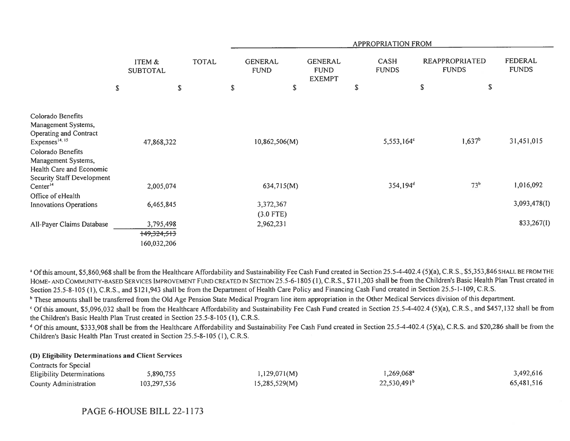|                                                                                                                                                                                 |                                         |              |                               |                                                | APPROPRIATION FROM          |                                       |                         |
|---------------------------------------------------------------------------------------------------------------------------------------------------------------------------------|-----------------------------------------|--------------|-------------------------------|------------------------------------------------|-----------------------------|---------------------------------------|-------------------------|
|                                                                                                                                                                                 | ITEM &<br><b>SUBTOTAL</b>               | <b>TOTAL</b> | <b>GENERAL</b><br><b>FUND</b> | <b>GENERAL</b><br><b>FUND</b><br><b>EXEMPT</b> | <b>CASH</b><br><b>FUNDS</b> | <b>REAPPROPRIATED</b><br><b>FUNDS</b> | FEDERAL<br><b>FUNDS</b> |
| \$                                                                                                                                                                              |                                         | \$           | \$<br>\$                      |                                                | \$                          | $\mathbb S$                           | \$                      |
| Colorado Benefits<br>Management Systems,<br><b>Operating and Contract</b><br>Expenses <sup>14, 15</sup><br>Colorado Benefits<br>Management Systems,<br>Health Care and Economic | 47,868,322                              |              | 10,862,506(M)                 |                                                | $5,553,164^{\circ}$         | $1,637^b$                             | 31,451,015              |
| <b>Security Staff Development</b><br>Center <sup>14</sup>                                                                                                                       | 2,005,074                               |              | 634,715(M)                    |                                                | 354,194 <sup>d</sup>        | 73 <sup>b</sup>                       | 1,016,092               |
| Office of eHealth<br><b>Innovations Operations</b>                                                                                                                              | 6,465,845                               |              | 3,372,367<br>$(3.0$ FTE)      |                                                |                             |                                       | 3,093,478(I)            |
| All-Payer Claims Database                                                                                                                                                       | 3,795,498<br>149,324,513<br>160,032,206 |              | 2,962,231                     |                                                |                             |                                       | 833,267(I)              |

<sup>a</sup> Of this amount, \$5,860,968 shall be from the Healthcare Affordability and Sustainability Fee Cash Fund created in Section 25.5-4-402.4 (5)(a), C.R.S., \$5,353,846 SHALL BE FROM THE HOME- AND COMMUNITY-BASED SERVICES IMPROVEMENT FUND CREATED IN SECTION 25.5-6-1805 (1), C.R.S., \$711,203 shall be from the Children's Basic Health Plan Trust created in Section 25.5-8-105 (1), C.R.S., and \$121,943 shall be from the Department of Health Care Policy and Financing Cash Fund created in Section 25.5-1-109, C.R.S.

<sup>b</sup> These amounts shall be transferred from the Old Age Pension State Medical Program line item appropriation in the Other Medical Services division of this department.

' Of this amount, \$5,096,032 shall be from the Healthcare Affordability and Sustainability Fee Cash Fund created in Section 25.5-4-402.4 (5)(a), C.R.S., and \$457,132 shall be from the Children's Basic Health Plan Trust created in Section 25.5-8-105 (1), C.R.S.

<sup>d</sup> Of this amount, \$333,908 shall be from the Healthcare Affordability and Sustainability Fee Cash Fund created in Section 25.5-4-402.4 (5)(a), C.R.S. and \$20,286 shall be from the Children's Basic Health Plan Trust created in Section 25.5-8-105 (1), C.R.S.

## (D) Eligibility Determinations and Client Services

| Contracts for Special             |             |               |                         |            |
|-----------------------------------|-------------|---------------|-------------------------|------------|
| <b>Eligibility Determinations</b> | 5,890,755   | 1,129,071(M)  | $.269,068$ <sup>a</sup> | 3,492,616  |
| County Administration             | 103,297,536 | 15,285,529(M) | $22,530,491^b$          | 65,481,516 |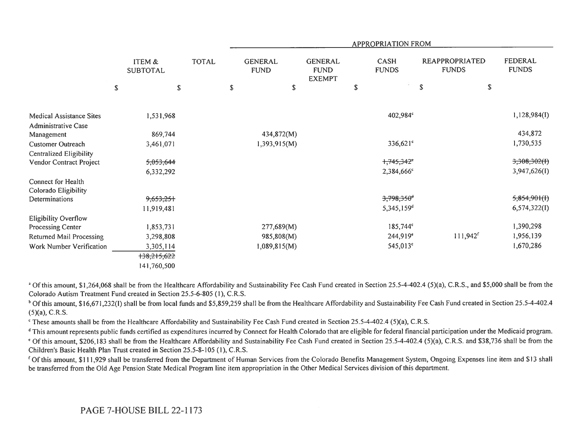|                                        |                           |              |                               |                                                |             | <b>APPROPRIATION FROM</b>   |                                |             |                         |
|----------------------------------------|---------------------------|--------------|-------------------------------|------------------------------------------------|-------------|-----------------------------|--------------------------------|-------------|-------------------------|
|                                        | ITEM &<br><b>SUBTOTAL</b> | <b>TOTAL</b> | <b>GENERAL</b><br><b>FUND</b> | <b>GENERAL</b><br><b>FUND</b><br><b>EXEMPT</b> |             | <b>CASH</b><br><b>FUNDS</b> | REAPPROPRIATED<br><b>FUNDS</b> |             | FEDERAL<br><b>FUNDS</b> |
|                                        | $\mathbb{S}$              | $\mathsf S$  | \$<br>\$                      |                                                | $\mathbb S$ |                             | ${\mathbb S}$                  | $\mathbb S$ |                         |
|                                        |                           |              |                               |                                                |             |                             |                                |             |                         |
| <b>Medical Assistance Sites</b>        | 1,531,968                 |              |                               |                                                |             | 402,984°                    |                                |             | 1,128,984(I)            |
| Administrative Case                    | 869,744                   |              | 434,872(M)                    |                                                |             |                             |                                |             | 434,872                 |
| Management<br><b>Customer Outreach</b> | 3,461,071                 |              | 1,393,915(M)                  |                                                |             | $336,621^{\circ}$           |                                |             | 1,730,535               |
| Centralized Eligibility                |                           |              |                               |                                                |             |                             |                                |             |                         |
| Vendor Contract Project                | 5,053,644                 |              |                               |                                                |             | +,745,342 <sup>e</sup>      |                                |             | 3,308,302(f)            |
|                                        | 6,332,292                 |              |                               |                                                |             | 2,384,666°                  |                                |             | 3,947,626(I)            |
| Connect for Health                     |                           |              |                               |                                                |             |                             |                                |             |                         |
| Colorado Eligibility                   |                           |              |                               |                                                |             |                             |                                |             |                         |
| Determinations                         | 9,653,251                 |              |                               |                                                |             | $3,798,350$ <sup>d</sup>    |                                |             | 5,854,901(f)            |
|                                        | 11,919,481                |              |                               |                                                |             | 5,345,159 <sup>d</sup>      |                                |             | 6,574,322(I)            |
| <b>Eligibility Overflow</b>            |                           |              |                               |                                                |             |                             |                                |             |                         |
| Processing Center                      | 1,853,731                 |              | 277,689(M)                    |                                                |             | $185,744^{\circ}$           |                                |             | 1,390,298               |
| <b>Returned Mail Processing</b>        | 3,298,808                 |              | 985,808(M)                    |                                                |             | $244,919$ <sup>e</sup>      | $111,942$ <sup>f</sup>         |             | 1,956,139               |
| Work Number Verification               | 3,305,114                 |              | 1,089,815(M)                  |                                                |             | 545,013°                    |                                |             | 1,670,286               |
|                                        | +38,215,622               |              |                               |                                                |             |                             |                                |             |                         |
|                                        | 141,760,500               |              |                               |                                                |             |                             |                                |             |                         |

<sup>a</sup> Of this amount, \$1,264,068 shall be from the Healthcare Affordability and Sustainability Fee Cash Fund created in Section 25.5-4-402.4 (5)(a), C.R.S., and \$5,000 shall be from the Colorado Autism Treatment Fund created in Section 25.5-6-805 (1), C.R.S.

<sup>b</sup> Of this amount, \$16,671,232(I) shall be from local funds and \$5,859,259 shall be from the Healthcare Affordability and Sustainability Fee Cash Fund created in Section 25.5-4-402.4 (5)(a), C.R.S.

' These amounts shall be from the Healthcare Affordability and Sustainability Fee Cash Fund created in Section 25.5-4-402.4 (5)(a), C.R.S.

<sup>d</sup> This amount represents public funds certified as expenditures incurred by Connect for Health Colorado that are eligible for federal financial participation under the Medicaid program.

Of this amount, \$206,183 shall be from the Healthcare Affordability and Sustainability Fee Cash Fund created in Section 25.5-4-402.4 (5)(a), C.R.S. and \$38,736 shall be from the Children's Basic Health Plan Trust created in Section 25.5-8-105 (1), C.R.S.

<sup>f</sup> Of this amount, \$111,929 shall be transferred from the Department of Human Services from the Colorado Benefits Management System, Ongoing Expenses line item and \$13 shall be transferred from the Old Age Pension State Medical Program line item appropriation in the Other Medical Services division of this department.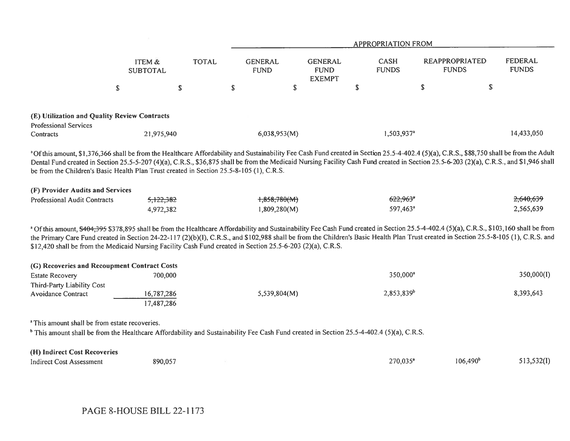|                                                                                                                                                                                                                                                                                                                                                                                                                                                                                                    |                           |              |                               |                                                | <b>APPROPRIATION FROM</b>   |                                       |                                |
|----------------------------------------------------------------------------------------------------------------------------------------------------------------------------------------------------------------------------------------------------------------------------------------------------------------------------------------------------------------------------------------------------------------------------------------------------------------------------------------------------|---------------------------|--------------|-------------------------------|------------------------------------------------|-----------------------------|---------------------------------------|--------------------------------|
|                                                                                                                                                                                                                                                                                                                                                                                                                                                                                                    | ITEM &<br><b>SUBTOTAL</b> | <b>TOTAL</b> | <b>GENERAL</b><br><b>FUND</b> | <b>GENERAL</b><br><b>FUND</b><br><b>EXEMPT</b> | <b>CASH</b><br><b>FUNDS</b> | <b>REAPPROPRIATED</b><br><b>FUNDS</b> | <b>FEDERAL</b><br><b>FUNDS</b> |
|                                                                                                                                                                                                                                                                                                                                                                                                                                                                                                    | $\mathbb S$               | \$           | \$                            | $\mathbb{S}$                                   | \$                          | $\mathbb{S}$                          | \$                             |
| (E) Utilization and Quality Review Contracts                                                                                                                                                                                                                                                                                                                                                                                                                                                       |                           |              |                               |                                                |                             |                                       |                                |
| <b>Professional Services</b>                                                                                                                                                                                                                                                                                                                                                                                                                                                                       |                           |              |                               |                                                |                             |                                       |                                |
| Contracts                                                                                                                                                                                                                                                                                                                                                                                                                                                                                          | 21,975,940                |              | 6,038,953(M)                  |                                                | 1,503,937 <sup>a</sup>      |                                       | 14,433,050                     |
| <sup>a</sup> Of this amount, \$1,376,366 shall be from the Healthcare Affordability and Sustainability Fee Cash Fund created in Section 25.5-4-402.4 (5)(a), C.R.S., \$88,750 shall be from the Adult<br>Dental Fund created in Section 25.5-5-207 (4)(a), C.R.S., \$36,875 shall be from the Medicaid Nursing Facility Cash Fund created in Section 25.5-6-203 (2)(a), C.R.S., and \$1,946 shall<br>be from the Children's Basic Health Plan Trust created in Section 25.5-8-105 (1), C.R.S.      |                           |              |                               |                                                |                             |                                       |                                |
| (F) Provider Audits and Services                                                                                                                                                                                                                                                                                                                                                                                                                                                                   |                           |              |                               |                                                |                             |                                       |                                |
| <b>Professional Audit Contracts</b>                                                                                                                                                                                                                                                                                                                                                                                                                                                                | 5,122,382                 |              | $+358,780(M)$                 |                                                | $622,963$ <sup>*</sup>      |                                       | 2,640,639                      |
|                                                                                                                                                                                                                                                                                                                                                                                                                                                                                                    | 4,972,382                 |              | 1,809,280(M)                  |                                                | 597,463 <sup>a</sup>        |                                       | 2,565,639                      |
| a Of this amount, \$404,395 \$378,895 shall be from the Healthcare Affordability and Sustainability Fee Cash Fund created in Section 25.5-4-402.4 (5)(a), C.R.S., \$103,160 shall be from<br>the Primary Care Fund created in Section 24-22-117 (2)(b)(I), C.R.S., and \$102,988 shall be from the Children's Basic Health Plan Trust created in Section 25.5-8-105 (1), C.R.S. and<br>\$12,420 shall be from the Medicaid Nursing Facility Cash Fund created in Section 25.5-6-203 (2)(a), C.R.S. |                           |              |                               |                                                |                             |                                       |                                |
| (G) Recoveries and Recoupment Contract Costs                                                                                                                                                                                                                                                                                                                                                                                                                                                       |                           |              |                               |                                                |                             |                                       |                                |
| <b>Estate Recovery</b>                                                                                                                                                                                                                                                                                                                                                                                                                                                                             | 700,000                   |              |                               |                                                | 350,000 <sup>a</sup>        |                                       | 350,000(I)                     |
| Third-Party Liability Cost                                                                                                                                                                                                                                                                                                                                                                                                                                                                         |                           |              |                               |                                                |                             |                                       |                                |
| <b>Avoidance Contract</b>                                                                                                                                                                                                                                                                                                                                                                                                                                                                          | 16,787,286<br>17,487,286  |              | 5,539,804(M)                  |                                                | 2,853,839 <sup>b</sup>      |                                       | 8,393,643                      |
| <sup>a</sup> This amount shall be from estate recoveries.                                                                                                                                                                                                                                                                                                                                                                                                                                          |                           |              |                               |                                                |                             |                                       |                                |
| <sup>b</sup> This amount shall be from the Healthcare Affordability and Sustainability Fee Cash Fund created in Section 25.5-4-402.4 (5)(a), C.R.S.                                                                                                                                                                                                                                                                                                                                                |                           |              |                               |                                                |                             |                                       |                                |
| (H) Indirect Cost Recoveries                                                                                                                                                                                                                                                                                                                                                                                                                                                                       |                           |              |                               |                                                |                             |                                       |                                |
| <b>Indirect Cost Assessment</b>                                                                                                                                                                                                                                                                                                                                                                                                                                                                    | 890,057                   |              |                               |                                                | 270,035 <sup>a</sup>        | $106,490^{\circ}$                     | 513,532(I)                     |

PAGE 8-HOUSE BILL 22-1173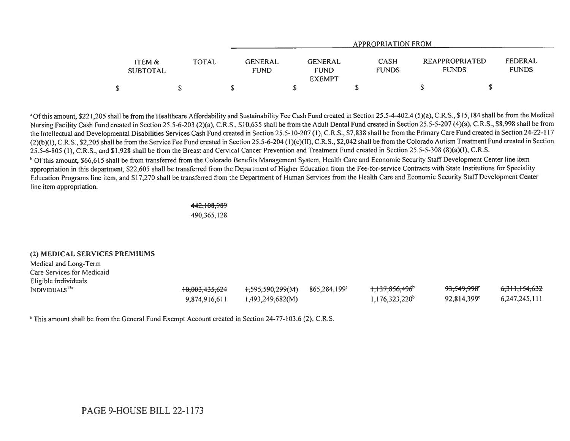|                           |              |                               |                                                | APPROPRIATION FROM          |                                       |                         |
|---------------------------|--------------|-------------------------------|------------------------------------------------|-----------------------------|---------------------------------------|-------------------------|
| ITEM &<br><b>SUBTOTAL</b> | <b>TOTAL</b> | <b>GENERAL</b><br><b>FUND</b> | <b>GENERAL</b><br><b>FUND</b><br><b>EXEMPT</b> | <b>CASH</b><br><b>FUNDS</b> | <b>REAPPROPRIATED</b><br><b>FUNDS</b> | FEDERAL<br><b>FUNDS</b> |
|                           |              |                               |                                                |                             |                                       |                         |

<del>6,311,154,632</del> 6,247,245,111

<sup>a</sup>Of this amount, \$221,205 shall be from the Healthcare Affordability and Sustainability Fee Cash Fund created in Section 25.5-4-402.4 (5)(a), C.R.S., \$15,184 shall be from the Medical Nursing Facility Cash Fund created in Section 25.5-6-203 (2)(a), C.R.S., \$10,635 shall be from the Adult Dental Fund created in Section 25.5-5-207 (4)(a), C.R.S., \$8,998 shall be from the Intellectual and Developmental Disabilities Services Cash Fund created in Section 25.5-10-207 (1), C.R.S., \$7,838 shall be from the Primary Care Fund created in Section 24-22-117 (2)(b)(I), C.R.S., \$2,205 shall be from the Service Fee Fund created in Section 25.5-6-204 (I )(c)(II), C.R.S., \$2,042 shall be from the Colorado Autism Treatment Fund created in Section 25.5-6-805 (1), C.R.S., and \$1,928 shall be from the Breast and Cervical Cancer Prevention and Treatment Fund created in Section 25.5-5-308 (8)(a)(I), C.R.S. <sup>b</sup> Of this amount, \$66,615 shall be from transferred from the Colorado Benefits Management System, Health Care and Economic Security Staff Development Center line item appropriation in this department, \$22,605 shall be transferred from the Department of Higher Education from the Fee-for-service Contracts with State Institutions for Speciality

Education Programs line item, and \$17,270 shall be transferred from the Department of Human Services from the Health Care and Economic Security Staff Development Center line item appropriation.

> 442,108,989 490,365,128

## (2) MEDICAL SERVICES PREMIUMS

Medical and Long-Term Care Services for Medicaid Eligible individuals  $\mu_{\rm{1595,1590,299(M)}}$  865,284,199<sup>a</sup> 10,003,435,624 1,595,590,299(M) 865,284,199<sup>a</sup> 9,874,916,611 1,493,249,682(M) 1,137,856,496<sup>\*</sup> 93,549,998<sup>\*</sup>  $1,176,323,220^b$  92,814,399°

<sup>a</sup> This amount shall be from the General Fund Exempt Account created in Section 24-77-103.6 (2), C.R.S.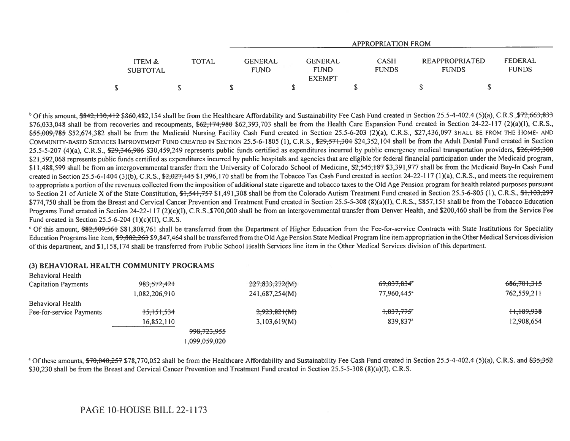|                           |       | APPROPRIATION FROM            |                                                |                             |                                |                         |  |  |  |  |
|---------------------------|-------|-------------------------------|------------------------------------------------|-----------------------------|--------------------------------|-------------------------|--|--|--|--|
| ITEM &<br><b>SUBTOTAL</b> | TOTAL | <b>GENERAL</b><br><b>FUND</b> | <b>GENERAL</b><br><b>FUND</b><br><b>EXEMPT</b> | <b>CASH</b><br><b>FUNDS</b> | REAPPROPRIATED<br><b>FUNDS</b> | FEDERAL<br><b>FUNDS</b> |  |  |  |  |
|                           |       |                               |                                                |                             |                                |                         |  |  |  |  |

<sup>b</sup> Of this amount, \$842,130,412 \$860,482,154 shall be from the Healthcare Affordability and Sustainability Fee Cash Fund created in Section 25.5-4-402.4 (5)(a), C.R.S., \$72,663, \$33 \$76,033,048 shall be from recoveries and recoupments,  $62,174,980$  \$62,393,703 shall be from the Health Care Expansion Fund created in Section 24-22-117 (2)(a)(1), C.R.S., \$55,009,785 \$52,674,382 shall be from the Medicaid Nursing Facility Cash Fund created in Section 25.5-6-203 (2)(a), C.R.S., \$27,436,097 SHALL BE FROM THE HOME- AND COMMUNITY-BASED SERVICES IMPROVEMENT FUND CREATED IN SECTION 25.5-6-1805 (1), C.R.S., \$29,571,304 \$24,352,104 shall be from the Adult Dental Fund created in Section 25.5-5-207 (4)(a), C.R.S.,  $\frac{29,346,986}{250,459,249}$  represents public funds certified as expenditures incurred by public emergency medical transportation providers,  $\frac{26,495,300}{200}$ \$21,592,068 represents public funds certified as expenditures incurred by public hospitals and agencies that are eligible for federal financial participation under the Medicaid program, \$11,488,599 shall be from an intergovernmental transfer from the University of Colorado School of Medicine, \$2,545,187 \$3,391,977 shall be from the Medicaid Buy-In Cash Fund created in Section 25.5-6-1404 (3)(b), C.R.S.,  $\frac{62,027,445}{2,027,445}$  \$1,996,170 shall be from the Tobacco Tax Cash Fund created in section 24-22-117 (1)(a), C.R.S., and meets the requirement to appropriate a portion of the revenues collected from the imposition of additional state cigarette and tobacco taxes to the Old Age Pension program for health related purposes pursuant to Section 21 of Article X of the State Constitution, \$1,541,757 \$1,491,308 shall be from the Colorado Autism Treatment Fund created in Section 25.5-6-805 (1), C.R.S., \$1,103,297 \$774,750 shall be from the Breast and Cervical Cancer Prevention and Treatment Fund created in Section 25.5-5-308 (8)(a)(1), C.R.S., \$857,151 shall be from the Tobacco Education Programs Fund created in Section 24-22-117 (2)(c)(I), C.R.S.,\$700,000 shall be from an intergovernmental transfer from Denver Health, and \$200,460 shall be from the Service Fee Fund created in Section 25.5-6-204 (1)(c)(II), C.R.S.

<sup>c</sup> Of this amount, \$82,509,561 \$81,808,761 shall be transferred from the Department of Higher Education from the Fee-for-service Contracts with State Institutions for Speciality Education Programs line item, \$9,882,263 \$9,847,464 shall be transferred from the Old Age Pension State Medical Program line item appropriation in the Other Medical Services division of this department, and \$1,158,174 shall be transferred from Public School Health Services line item in the Other Medical Services division of this department.

| Behavioral Health        |                |                        |                         |             |
|--------------------------|----------------|------------------------|-------------------------|-------------|
| Capitation Payments      | 983,572,421    | 227,833,272(M)         | 69,037,834 <sup>*</sup> | 686,701,315 |
|                          | 1,082,206,910  | 241,687,254(M)         | 77,960,445 <sup>a</sup> | 762,559,211 |
| Behavioral Health        |                |                        |                         |             |
| Fee-for-service Payments | $+5, +51, 534$ | 2,923,821(M)           | +,037,775 <sup>a</sup>  | H,189,938   |
|                          | 16,852,110     | 3,103,619(M)           | 839,837 <sup>a</sup>    | 12,908,654  |
|                          |                | <del>998,723,955</del> |                         |             |
|                          |                | 1,099,059,020          |                         |             |

## (3) BEHAVIORAL HEALTH COMMUNITY PROGRAMS

<sup>a</sup> Of these amounts, \$70,040,257 \$78,770,052 shall be from the Healthcare Affordability and Sustainability Fee Cash Fund created in Section 25.5-4-402.4 (5)(a), C.R.S. and \$35.352 \$30,230 shall be from the Breast and Cervical Cancer Prevention and Treatment Fund created in Section 25.5-5-308 (8)(a)(I), C.R.S.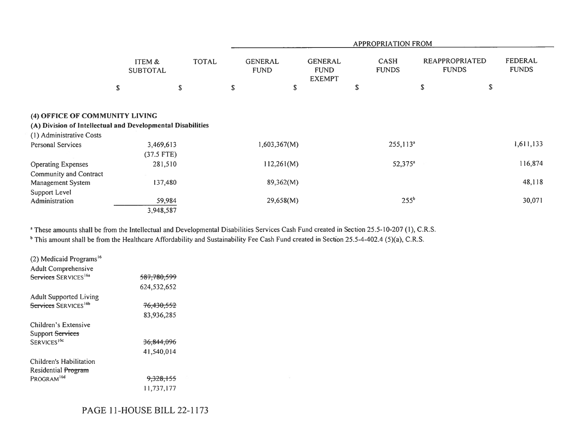|                                                                                               |                           |              |    | <b>APPROPRIATION FROM</b>     |                                                |    |                             |                                       |    |                         |  |  |
|-----------------------------------------------------------------------------------------------|---------------------------|--------------|----|-------------------------------|------------------------------------------------|----|-----------------------------|---------------------------------------|----|-------------------------|--|--|
|                                                                                               | ITEM &<br><b>SUBTOTAL</b> | <b>TOTAL</b> |    | <b>GENERAL</b><br><b>FUND</b> | <b>GENERAL</b><br><b>FUND</b><br><b>EXEMPT</b> |    | <b>CASH</b><br><b>FUNDS</b> | <b>REAPPROPRIATED</b><br><b>FUNDS</b> |    | FEDERAL<br><b>FUNDS</b> |  |  |
|                                                                                               | \$                        | \$           | S. | ${\mathbb S}$                 |                                                | \$ |                             | \$                                    | \$ |                         |  |  |
| (4) OFFICE OF COMMUNITY LIVING<br>(A) Division of Intellectual and Developmental Disabilities |                           |              |    |                               |                                                |    |                             |                                       |    |                         |  |  |
| (1) Administrative Costs<br><b>Personal Services</b>                                          | 3,469,613<br>$(37.5$ FTE) |              |    | 1,603,367(M)                  |                                                |    | $255,113^a$                 |                                       |    | 1,611,133               |  |  |
| <b>Operating Expenses</b><br>Community and Contract                                           | 281,510                   |              |    | 112,261(M)                    |                                                |    | $52,375^a$                  |                                       |    | 116,874                 |  |  |
| Management System                                                                             | 137,480                   |              |    | 89,362(M)                     |                                                |    |                             |                                       |    | 48,118                  |  |  |
| Support Level<br>Administration                                                               | 59,984<br>3,948,587       |              |    | 29,658(M)                     |                                                |    | 255 <sup>b</sup>            |                                       |    | 30,071                  |  |  |

<sup>a</sup> These amounts shall be from the Intellectual and Developmental Disabilities Services Cash Fund created in Section 25.5-10-207 (1), C.R.S.

<sup>b</sup> This amount shall be from the Healthcare Affordability and Sustainability Fee Cash Fund created in Section 25.5-4-402.4 (5)(a), C.R.S.

| (2) Medicaid Programs <sup>16</sup> |                        |  |
|-------------------------------------|------------------------|--|
| Adult Comprehensive                 |                        |  |
| Services SERVICES <sup>16a</sup>    | <del>587.780.599</del> |  |
|                                     | 624,532,652            |  |
| <b>Adult Supported Living</b>       |                        |  |
| Services SERVICES <sup>16b</sup>    | <del>76,430,552</del>  |  |
|                                     | 83,936,285             |  |
| Children's Extensive                |                        |  |
| Support Services                    |                        |  |
| SERVICES <sup>16c</sup>             | <del>36.844.096</del>  |  |
|                                     | 41.540.014             |  |
| Children's Habilitation             |                        |  |
| Residential Program                 |                        |  |
| PROGRAM <sup>16d</sup>              | <del>9.328.155</del>   |  |
|                                     | 11,737,177             |  |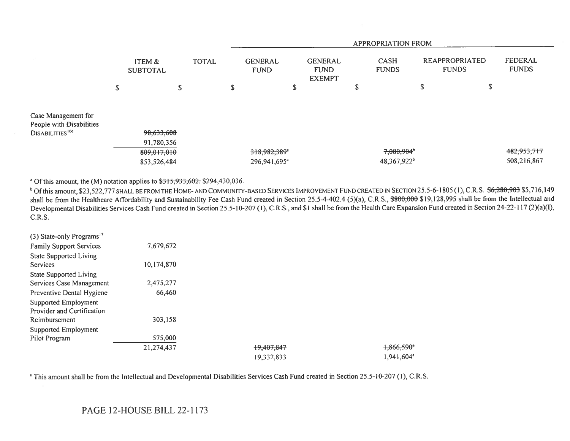|                                                                                |                                          |        |              |   | <b>APPROPRIATION FROM</b>                |                                                |  |                      |                                      |                                |   |                            |
|--------------------------------------------------------------------------------|------------------------------------------|--------|--------------|---|------------------------------------------|------------------------------------------------|--|----------------------|--------------------------------------|--------------------------------|---|----------------------------|
|                                                                                | ITEM &<br><b>SUBTOTAL</b>                |        | <b>TOTAL</b> |   | <b>GENERAL</b><br><b>FUND</b>            | <b>GENERAL</b><br><b>FUND</b><br><b>EXEMPT</b> |  | CASH<br><b>FUNDS</b> |                                      | REAPPROPRIATED<br><b>FUNDS</b> |   | FEDERAL<br><b>FUNDS</b>    |
|                                                                                | \$                                       | ጥ<br>P |              | ъ |                                          | S                                              |  | Ъ                    |                                      | e<br>D                         | ъ |                            |
| Case Management for<br>People with Disabilities<br>DISABILITIES <sup>16e</sup> | 98,633,608                               |        |              |   |                                          |                                                |  |                      |                                      |                                |   |                            |
|                                                                                | 91,780,356<br>809,017,010<br>853,526,484 |        |              |   | 318,982,389"<br>296,941,695 <sup>a</sup> |                                                |  |                      | 7,080,904<br>48,367,922 <sup>b</sup> |                                |   | 482,953,717<br>508,216,867 |

<sup>a</sup> Of this amount, the (M) notation applies to  $\frac{1215}{1215}$ ,  $\frac{1233}{1204}$ ,  $\frac{1204}{1200}$ ,  $\frac{1204}{1200}$ 

<sup>b</sup> Of this amount, \$23,522,777 SHALL BE FROM THE HOME-AND COMMUNITY-BASED SERVICES IMPROVEMENT FUND CREATED IN SECTION 25.5-6-1805 (1), C.R.S. \$6,280,903 \$5,716,149 shall be from the Healthcare Affordability and Sustainability Fee Cash Fund created in Section 25.5-4-402.4 (5)(a), C.R.S., \$800,000 \$19,128,995 shall be from the Intellectual and Developmental Disabilities Services Cash Fund created in Section 25.5-10-207 (1), C.R.S., and \$1 shall be from the Health Care Expansion Fund created in Section 24-22-117 (2)(a)(I), C.R.S.

| (3) State-only Programs <sup>17</sup> |            |            |                         |
|---------------------------------------|------------|------------|-------------------------|
| <b>Family Support Services</b>        | 7,679,672  |            |                         |
| <b>State Supported Living</b>         |            |            |                         |
| Services                              | 10,174,870 |            |                         |
| <b>State Supported Living</b>         |            |            |                         |
| Services Case Management              | 2,475,277  |            |                         |
| Preventive Dental Hygiene             | 66,460     |            |                         |
| Supported Employment                  |            |            |                         |
| Provider and Certification            |            |            |                         |
| Reimbursement                         | 303,158    |            |                         |
| Supported Employment                  |            |            |                         |
| Pilot Program                         | 575,000    |            |                         |
|                                       | 21,274,437 | +9,407,847 | $+366,590$ <sup>*</sup> |
|                                       |            | 19,332,833 | 1.941,604 <sup>a</sup>  |

<sup>a</sup> This amount shall be from the Intellectual and Developmental Disabilities Services Cash Fund created in Section 25.5-10-207 (1), C.R.S.

# PAGE 12-HOUSE BILL 22-1173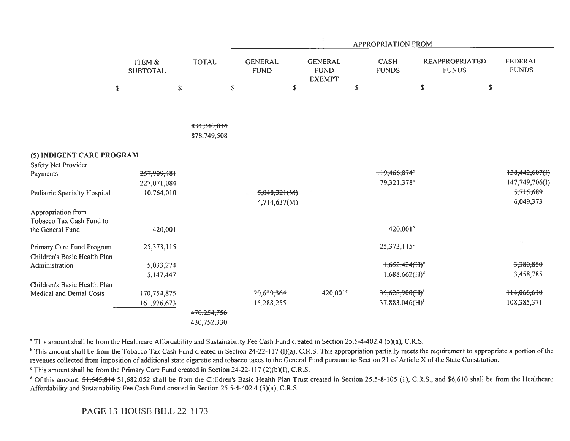|                                                           |                            |                            |                               |                                                | <b>APPROPRIATION FROM</b>                           |                                                       |                                      |  |
|-----------------------------------------------------------|----------------------------|----------------------------|-------------------------------|------------------------------------------------|-----------------------------------------------------|-------------------------------------------------------|--------------------------------------|--|
|                                                           | ITEM &<br><b>SUBTOTAL</b>  | <b>TOTAL</b>               | <b>GENERAL</b><br><b>FUND</b> | <b>GENERAL</b><br><b>FUND</b><br><b>EXEMPT</b> | \$<br><b>CASH</b><br><b>FUNDS</b>                   | <b>REAPPROPRIATED</b><br><b>FUNDS</b><br>$\mathbb{S}$ | <b>FEDERAL</b><br><b>FUNDS</b><br>\$ |  |
|                                                           | $\mathbb{S}$               | $\mathbb{S}$               | $\mathsf S$<br>$\mathbb{S}$   |                                                |                                                     |                                                       |                                      |  |
|                                                           |                            |                            |                               |                                                |                                                     |                                                       |                                      |  |
|                                                           |                            | 834,240,034<br>878,749,508 |                               |                                                |                                                     |                                                       |                                      |  |
| (5) INDIGENT CARE PROGRAM                                 |                            |                            |                               |                                                |                                                     |                                                       |                                      |  |
| Safety Net Provider                                       |                            |                            |                               |                                                |                                                     |                                                       |                                      |  |
| Payments                                                  | 257,909,481<br>227,071,084 |                            |                               |                                                | ++9,466,874 <sup>*</sup><br>79,321,378 <sup>a</sup> |                                                       | +38,442,607(1)<br>147,749,706(I)     |  |
| Pediatric Specialty Hospital                              | 10,764,010                 |                            | 5,048,321(M)<br>4,714,637(M)  |                                                |                                                     |                                                       | 5,715,689<br>6,049,373               |  |
| Appropriation from<br>Tobacco Tax Cash Fund to            |                            |                            |                               |                                                |                                                     |                                                       |                                      |  |
| the General Fund                                          | 420,001                    |                            |                               |                                                | 420,001 <sup>b</sup>                                |                                                       |                                      |  |
| Primary Care Fund Program<br>Children's Basic Health Plan | 25,373,115                 |                            |                               |                                                | 25,373,115 <sup>c</sup>                             |                                                       |                                      |  |
| Administration                                            | 5,033,274                  |                            |                               |                                                | $1,652,424(H)^d$                                    |                                                       | 3,380,850                            |  |
|                                                           | 5,147,447                  |                            |                               |                                                | 1,688,662(H) <sup>d</sup>                           |                                                       | 3,458,785                            |  |
| Children's Basic Health Plan                              |                            |                            |                               |                                                |                                                     |                                                       |                                      |  |
| Medical and Dental Costs                                  | 170,754,875                |                            | 20,639,364                    | 420,001 <sup>e</sup>                           | 35,628,900(H) <sup>f</sup>                          |                                                       | ++4,066,610                          |  |
|                                                           | 161,976,673                |                            | 15,288,255                    |                                                | 37,883,046(H) <sup>f</sup>                          |                                                       | 108,385,371                          |  |
|                                                           |                            | 470,254,756                |                               |                                                |                                                     |                                                       |                                      |  |
|                                                           |                            | 430,752,330                |                               |                                                |                                                     |                                                       |                                      |  |

<sup>a</sup> This amount shall be from the Healthcare Affordability and Sustainability Fee Cash Fund created in Section 25.5-4-402.4 (5)(a), C.R.S.

<sup>b</sup> This amount shall be from the Tobacco Tax Cash Fund created in Section 24-22-117 (1)(a), C.R.S. This appropriation partially meets the requirement to appropriate a portion of the revenues collected from imposition of additional state cigarette and tobacco taxes to the General Fund pursuant to Section 21 of Article X of the State Constitution.

 $\degree$  This amount shall be from the Primary Care Fund created in Section 24-22-117 (2)(b)(I), C.R.S.

<sup>d</sup> Of this amount, \$1,645,814 \$1,682,052 shall be from the Children's Basic Health Plan Trust created in Section 25.5-8-105 (1), C.R.S., and \$6,610 shall be from the Healthcare Affordability and Sustainability Fee Cash Fund created in Section 25.5-4-402.4 (5)(a), C.R.S.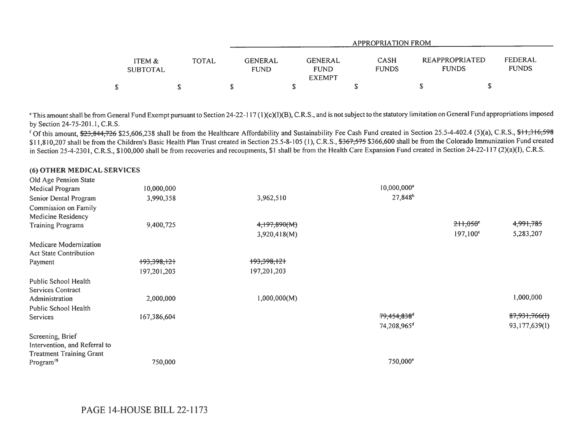|                                      |       |                        |                                                | APPROPRIATION FROM          |                                |                         |  |
|--------------------------------------|-------|------------------------|------------------------------------------------|-----------------------------|--------------------------------|-------------------------|--|
| <b>ITEM &amp;</b><br><b>SUBTOTAL</b> | TOTAL | GENERAL<br><b>FUND</b> | <b>GENERAL</b><br><b>FUND</b><br><b>EXEMPT</b> | <b>CASH</b><br><b>FUNDS</b> | REAPPROPRIATED<br><b>FUNDS</b> | FEDERAL<br><b>FUNDS</b> |  |
|                                      |       |                        |                                                |                             | ۰                              |                         |  |

`This amount shall be from General Fund Exempt pursuant to Section 24-22-117 (1)(c)(I)(B), C.R.S., and is not subject to the statutory limitation on General Fund appropriations imposed by Section 24-75-201.1, C.R.S.

<sup>f</sup> Of this amount, \$23,844,726 \$25,606,238 shall be from the Healthcare Affordability and Sustainability Fee Cash Fund created in Section 25.5-4-402.4 (5)(a), C.R.S., \$11,316,598 \$11,810,207 shall be from the Children's Basic Health Plan Trust created in Section 25.5-8-105 (1), C.R.S., \$367,575 \$366,600 shall be from the Colorado Immunization Fund created in Section 25-4-2301, C.R.S., \$100,000 shall be from recoveries and recoupments, \$1 shall be from the Health Care Expansion Fund created in Section 24-22-117 (2)(a)(1), C.R.S.

| Old Age Pension State           |             |              |                         |                   |               |
|---------------------------------|-------------|--------------|-------------------------|-------------------|---------------|
| Medical Program                 | 10,000,000  |              | 10,000,000 <sup>a</sup> |                   |               |
| Senior Dental Program           | 3,990,358   | 3,962,510    | 27,848 <sup>b</sup>     |                   |               |
| Commission on Family            |             |              |                         |                   |               |
| <b>Medicine Residency</b>       |             |              |                         |                   |               |
| <b>Training Programs</b>        | 9,400,725   | 4,197,890(M) |                         | $211,050$ °       | 4,991,785     |
|                                 |             | 3,920,418(M) |                         | $197,100^{\circ}$ | 5,283,207     |
| Medicare Modernization          |             |              |                         |                   |               |
| <b>Act State Contribution</b>   |             |              |                         |                   |               |
| Payment                         | +93,398,121 | +93,398,121  |                         |                   |               |
|                                 | 197,201,203 | 197,201,203  |                         |                   |               |
| Public School Health            |             |              |                         |                   |               |
| <b>Services Contract</b>        |             |              |                         |                   |               |
| Administration                  | 2,000,000   | 1,000,000(M) |                         |                   | 1,000,000     |
| Public School Health            |             |              |                         |                   |               |
| Services                        | 167,386,604 |              | 79,454,838 <sup>d</sup> |                   | 87,931,766(I) |
|                                 |             |              | 74,208,965 <sup>d</sup> |                   | 93,177,639(I) |
| Screening, Brief                |             |              |                         |                   |               |
| Intervention, and Referral to   |             |              |                         |                   |               |
| <b>Treatment Training Grant</b> |             |              |                         |                   |               |
| Program <sup>18</sup>           | 750,000     |              | 750,000°                |                   |               |

(6) OTHER MEDICAL SERVICES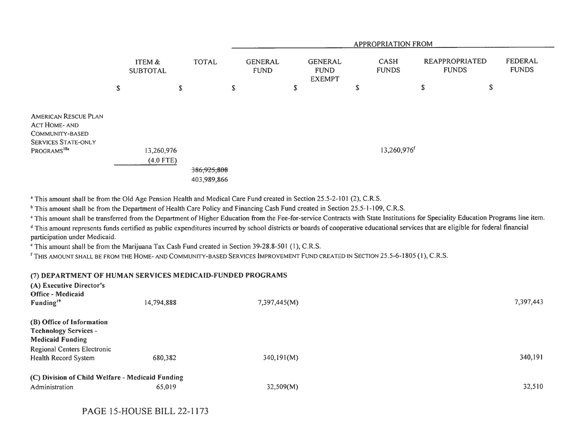|                                                                                                                          |                           |                           |              |                            | <b>APPROPRIATION FROM</b>     |   |                                                |    |                         |    |                                |                         |
|--------------------------------------------------------------------------------------------------------------------------|---------------------------|---------------------------|--------------|----------------------------|-------------------------------|---|------------------------------------------------|----|-------------------------|----|--------------------------------|-------------------------|
|                                                                                                                          |                           | ITEM &<br><b>SUBTOTAL</b> | <b>TOTAL</b> |                            | <b>GENERAL</b><br><b>FUND</b> |   | <b>GENERAL</b><br><b>FUND</b><br><b>EXEMPT</b> |    | CASH<br><b>FUNDS</b>    |    | REAPPROPRIATED<br><b>FUNDS</b> | FEDERAL<br><b>FUNDS</b> |
|                                                                                                                          | $\boldsymbol{\mathsf{S}}$ |                           | $\mathbb S$  | S                          |                               | S |                                                | \$ |                         | \$ | \$                             |                         |
| <b>AMERICAN RESCUE PLAN</b><br>ACT HOME- AND<br>COMMUNITY-BASED<br><b>SERVICES STATE-ONLY</b><br>PROGRAMS <sup>18a</sup> |                           | 13,260,976<br>$(4.0$ FTE) |              | 386,925,808<br>403,989,866 |                               |   |                                                |    | 13,260,976 <sup>f</sup> |    |                                |                         |

<sup>a</sup> This amount shall be from the Old Age Pension Health and Medical Care Fund created in Section 25.5-2-101 (2), C.R.S.

<sup>b</sup> This amount shall be from the Department of Health Care Policy and Financing Cash Fund created in Section 25.5-1-109, C.R.S.

This amount shall be transferred from the Department of Higher Education from the Fee-for-service Contracts with State Institutions for Speciality Education Programs line item.

<sup>d</sup> This amount represents funds certified as public expenditures incurred by school districts or boards of cooperative educational services that are eligible for federal financial participation under Medicaid.

This amount shall be from the Marijuana Tax Cash Fund created in Section 39-28.8-501 (1), C.R.S.

<sup>r</sup> THIS AMOUNT SHALL BE FROM THE HOME- AND COMMUNITY-BASED SERVICES IMPROVEMENT FUND CREATED IN SECTION 25.5-6-1805 (I), C.R.S.

## (7) DEPARTMENT OF HUMAN SERVICES MEDICAID-FUNDED PROGRAMS

| (A) Executive Director's<br>Office - Medicaid<br>Funding <sup>19</sup> | 14,794,888 | 7,397,445(M) | 7,397,443 |
|------------------------------------------------------------------------|------------|--------------|-----------|
| (B) Office of Information                                              |            |              |           |
| <b>Technology Services -</b>                                           |            |              |           |
| <b>Medicaid Funding</b>                                                |            |              |           |
| Regional Centers Electronic                                            |            |              |           |
| Health Record System                                                   | 680,382    | 340,191(M)   | 340,191   |
| (C) Division of Child Welfare - Medicaid Funding                       |            |              |           |
| Administration                                                         | 65,019     | 32,509(M)    | 32,510    |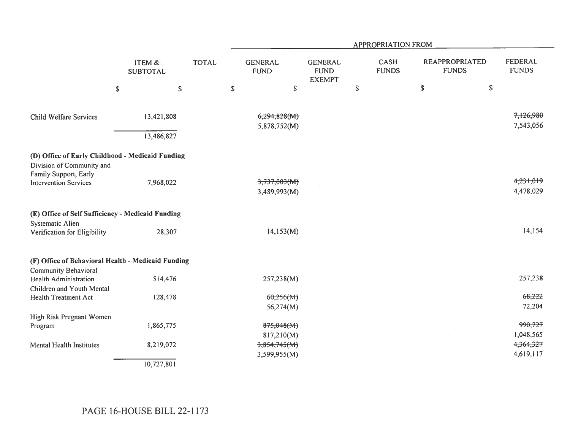|                                                                                                        |                           |              | <b>APPROPRIATION FROM</b>     |                                                |                             |                                       |                         |  |  |  |
|--------------------------------------------------------------------------------------------------------|---------------------------|--------------|-------------------------------|------------------------------------------------|-----------------------------|---------------------------------------|-------------------------|--|--|--|
|                                                                                                        | ITEM &<br><b>SUBTOTAL</b> | <b>TOTAL</b> | <b>GENERAL</b><br><b>FUND</b> | <b>GENERAL</b><br><b>FUND</b><br><b>EXEMPT</b> | <b>CASH</b><br><b>FUNDS</b> | <b>REAPPROPRIATED</b><br><b>FUNDS</b> | FEDERAL<br><b>FUNDS</b> |  |  |  |
|                                                                                                        | \$                        | $\mathbb S$  | $\mathbb{S}$                  | $\mathbb{S}$                                   | $\mathbb S$                 | $\mathbb S$<br>$\mathbb S$            |                         |  |  |  |
| Child Welfare Services                                                                                 | 13,421,808                |              | 6,294,828(M)                  |                                                |                             |                                       | 7,126,980               |  |  |  |
|                                                                                                        |                           |              | 5,878,752(M)                  |                                                |                             |                                       | 7,543,056               |  |  |  |
|                                                                                                        | 13,486,827                |              |                               |                                                |                             |                                       |                         |  |  |  |
| (D) Office of Early Childhood - Medicaid Funding<br>Division of Community and<br>Family Support, Early |                           |              |                               |                                                |                             |                                       |                         |  |  |  |
| <b>Intervention Services</b>                                                                           | 7,968,022                 |              | 3,737,003(M)                  |                                                |                             |                                       | 4,231,019               |  |  |  |
|                                                                                                        |                           |              | 3,489,993(M)                  |                                                |                             |                                       | 4,478,029               |  |  |  |
| (E) Office of Self Sufficiency - Medicaid Funding                                                      |                           |              |                               |                                                |                             |                                       |                         |  |  |  |
| Systematic Alien<br>Verification for Eligibility                                                       | 28,307                    |              | 14,153(M)                     |                                                |                             |                                       | 14,154                  |  |  |  |
| (F) Office of Behavioral Health - Medicaid Funding                                                     |                           |              |                               |                                                |                             |                                       |                         |  |  |  |
| <b>Community Behavioral</b><br><b>Health Administration</b>                                            | 514,476                   |              | 257,238(M)                    |                                                |                             |                                       | 257,238                 |  |  |  |
| Children and Youth Mental                                                                              |                           |              |                               |                                                |                             |                                       |                         |  |  |  |
| <b>Health Treatment Act</b>                                                                            | 128,478                   |              | 60,256(M)                     |                                                |                             |                                       | 68,222                  |  |  |  |
|                                                                                                        |                           |              | 56,274(M)                     |                                                |                             |                                       | 72,204                  |  |  |  |
| High Risk Pregnant Women                                                                               |                           |              |                               |                                                |                             |                                       |                         |  |  |  |
| Program                                                                                                | 1,865,775                 |              | 875,048(M)                    |                                                |                             |                                       | 990,727                 |  |  |  |
|                                                                                                        |                           |              | 817,210(M)                    |                                                |                             |                                       | 1,048,565               |  |  |  |
| <b>Mental Health Institutes</b>                                                                        | 8,219,072                 |              | 3,854,745(M)                  |                                                |                             |                                       | 4,364,327               |  |  |  |
|                                                                                                        |                           |              | 3,599,955(M)                  |                                                |                             |                                       | 4,619,117               |  |  |  |
|                                                                                                        | 10,727,801                |              |                               |                                                |                             |                                       |                         |  |  |  |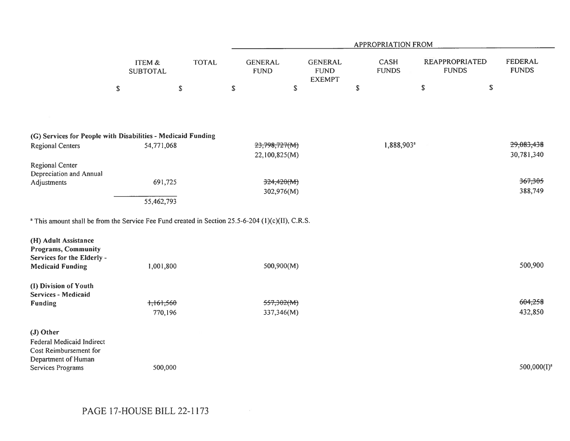|                                                                                                              |                           |               | <b>APPROPRIATION FROM</b>     |                                                |                             |                        |                                                                         |  |  |  |
|--------------------------------------------------------------------------------------------------------------|---------------------------|---------------|-------------------------------|------------------------------------------------|-----------------------------|------------------------|-------------------------------------------------------------------------|--|--|--|
|                                                                                                              | ITEM &<br><b>SUBTOTAL</b> | <b>TOTAL</b>  | <b>GENERAL</b><br><b>FUND</b> | <b>GENERAL</b><br><b>FUND</b><br><b>EXEMPT</b> | <b>CASH</b><br><b>FUNDS</b> |                        | <b>FEDERAL</b><br><b>REAPPROPRIATED</b><br><b>FUNDS</b><br><b>FUNDS</b> |  |  |  |
|                                                                                                              | $\mathbb S$               | ${\mathbb S}$ | $\mathbb S$                   | $\mathbb S$                                    | \$                          | \$                     | $\mathbb S$                                                             |  |  |  |
|                                                                                                              |                           |               |                               |                                                |                             |                        |                                                                         |  |  |  |
| (G) Services for People with Disabilities - Medicaid Funding                                                 |                           |               |                               |                                                |                             |                        |                                                                         |  |  |  |
| <b>Regional Centers</b>                                                                                      | 54,771,068                |               | 23,798,727(M)                 |                                                |                             | 1,888,903 <sup>a</sup> | 29,083,438                                                              |  |  |  |
| <b>Regional Center</b>                                                                                       |                           |               | 22,100,825(M)                 |                                                |                             |                        | 30,781,340                                                              |  |  |  |
| Depreciation and Annual<br>Adjustments                                                                       | 691,725                   |               | 324,420(M)                    |                                                |                             |                        | 367,305                                                                 |  |  |  |
|                                                                                                              |                           |               | 302,976(M)                    |                                                |                             |                        | 388,749                                                                 |  |  |  |
|                                                                                                              | 55,462,793                |               |                               |                                                |                             |                        |                                                                         |  |  |  |
| <sup>a</sup> This amount shall be from the Service Fee Fund created in Section 25.5-6-204 (1)(c)(II), C.R.S. |                           |               |                               |                                                |                             |                        |                                                                         |  |  |  |
| (H) Adult Assistance<br>Programs, Community<br>Services for the Elderly -<br><b>Medicaid Funding</b>         | 1,001,800                 |               | 500,900(M)                    |                                                |                             |                        | 500,900                                                                 |  |  |  |
|                                                                                                              |                           |               |                               |                                                |                             |                        |                                                                         |  |  |  |
| (I) Division of Youth<br>Services - Medicaid                                                                 |                           |               |                               |                                                |                             |                        |                                                                         |  |  |  |
| Funding                                                                                                      | 1,161,560                 |               | 557,302(M)                    |                                                |                             |                        | 604,258                                                                 |  |  |  |
|                                                                                                              | 770,196                   |               | 337,346(M)                    |                                                |                             |                        | 432,850                                                                 |  |  |  |
| (J) Other<br>Federal Medicaid Indirect<br>Cost Reimbursement for<br>Department of Human                      |                           |               |                               |                                                |                             |                        |                                                                         |  |  |  |
| Services Programs                                                                                            | 500,000                   |               |                               |                                                |                             |                        | $500,000(I)^a$                                                          |  |  |  |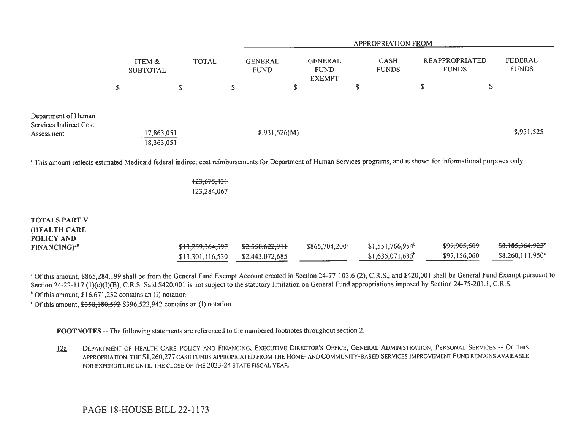|                                                             |   |                           |              |   | APPROPRIATION FROM            |                                                |   |                             |                                |    |                         |
|-------------------------------------------------------------|---|---------------------------|--------------|---|-------------------------------|------------------------------------------------|---|-----------------------------|--------------------------------|----|-------------------------|
|                                                             |   | ITEM &<br><b>SUBTOTAL</b> | <b>TOTAL</b> |   | <b>GENERAL</b><br><b>FUND</b> | <b>GENERAL</b><br><b>FUND</b><br><b>EXEMPT</b> |   | <b>CASH</b><br><b>FUNDS</b> | REAPPROPRIATED<br><b>FUNDS</b> |    | FEDERAL<br><b>FUNDS</b> |
|                                                             | S |                           | S            | D |                               | \$                                             | S |                             | S                              | \$ |                         |
| Department of Human<br>Services Indirect Cost<br>Assessment |   | 17,863,051                |              |   | 8,931,526(M)                  |                                                |   |                             |                                |    | 8,931,525               |
|                                                             |   | 18,363,051                |              |   |                               |                                                |   |                             |                                |    |                         |

<sup>a</sup> This amount reflects estimated Medicaid federal indirect cost reimbursements for Department of Human Services programs, and is shown for informational purposes only.

<mark>123,675,43</mark>1 123,284,067

| <b>TOTALS PART V</b>     |                             |                 |                  |                              |              |                              |
|--------------------------|-----------------------------|-----------------|------------------|------------------------------|--------------|------------------------------|
| <b>HEALTH CARE</b>       |                             |                 |                  |                              |              |                              |
| POLICY AND               |                             |                 |                  |                              |              |                              |
| FINANCING) <sup>20</sup> | <del>\$13,259,364,597</del> | \$2,558,622,911 | $$865,704,200^4$ | \$1,551,766,954 <sup>b</sup> | \$97,905,609 | <del>\$8,185,364,923</del> ° |
|                          | \$13,301,116,530            | \$2,443,072,685 |                  | $$1,635,071,635^{\circ}$     | \$97,156,060 | $$8,260,111,950^{\circ}$     |

<sup>a</sup> Of this amount, \$865,284,199 shall be from the General Fund Exempt Account created in Section 24-77-103.6 (2), C.R.S., and \$420,001 shall be General Fund Exempt pursuant to Section 24-22-117 (1)(c)(1)(B), C.R.S. Said \$420,001 is not subject to the statutory limitation on General Fund appropriations imposed by Section 24-75-201.1, C.R.S.  $<sup>b</sup>$  Of this amount, \$16,671,232 contains an (I) notation.</sup>

 $\degree$  Of this amount,  $\frac{12558}{180,592}$  \$396,522,942 contains an (I) notation.

FOOTNOTES -- The following statements are referenced to the numbered footnotes throughout section 2.

12a DEPARTMENT OF HEALTH CARE POLICY AND FINANCING, EXECUTIVE DIRECTOR'S OFFICE, GENERAL ADMINISTRATION, PERSONAL SERVICES -- OF THIS APPROPRIATION, THE \$1,260,277 CASH FUNDS APPROPRIATED FROM THE HOME- AND COMMUNITY-BASED SERVICES IMPROVEMENT FUND REMAINS AVAILABLE FOR EXPENDITURE UNTIL THE CLOSE OF THE 2023-24 STATE FISCAL YEAR.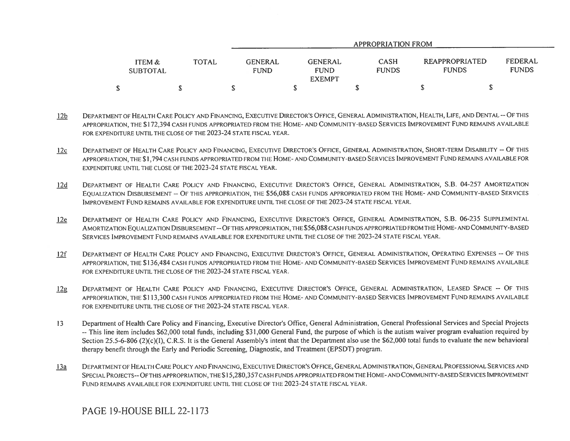|                           |              | APPROPRIATION FROM                                                       |                             |  |                                                                  |  |  |
|---------------------------|--------------|--------------------------------------------------------------------------|-----------------------------|--|------------------------------------------------------------------|--|--|
| ITEM &<br><b>SUBTOTAL</b> | <b>TOTAL</b> | GENERAL<br><b>GENERAL</b><br><b>FUND</b><br><b>FUND</b><br><b>EXEMPT</b> | <b>CASH</b><br><b>FUNDS</b> |  | FEDERAL<br><b>REAPPROPRIATED</b><br><b>FUNDS</b><br><b>FUNDS</b> |  |  |
| \$                        |              |                                                                          |                             |  |                                                                  |  |  |

- 12b DEPARTMENT OF HEALTH CARE POLICY AND FINANCING, EXECUTIVE DIRECTOR'S OFFICE, GENERAL ADMINISTRATION, HEALTH, LIFE, AND DENTAL -- OF THIS APPROPRIATION, THE \$172,394 CASH FUNDS APPROPRIATED FROM THE HOME- AND COMMUNITY-BASED SERVICES IMPROVEMENT FUND REMAINS AVAILABLE FOR EXPENDITURE UNTIL THE CLOSE OF THE 2023-24 STATE FISCAL YEAR.
- 12c DEPARTMENT OF HEALTH CARE POLICY AND FINANCING, EXECUTIVE DIRECTOR'S OFFICE, GENERAL ADMINISTRATION, SHORT-TERM DISABILITY -- OF THIS APPROPRIATION, THE \$1,794 CASH FUNDS APPROPRIATED FROM THE HOME- AND COMMUNITY-BASED SERVICES IMPROVEMENT FUND REMAINS AVAILABLE FOR EXPENDITURE UNTIL THE CLOSE OF THE 2023-24 STATE FISCAL YEAR.
- I2d DEPARTMENT OF HEALTH CARE POLICY AND FINANCING, EXECUTIVE DIRECTOR'S OFFICE, GENERAL ADMINISTRATION, S.B. 04-257 AMORTIZATION EQUALIZATION DISBURSEMENT -- OF THIS APPROPRIATION, THE \$56,088 CASH FUNDS APPROPRIATED FROM THE HOME- AND COMMUNITY-BASED SERVICES IMPROVEMENT FUND REMAINS AVAILABLE FOR EXPENDITURE UNTIL THE CLOSE OF THE 2023-24 STATE FISCAL YEAR.
- 12e DEPARTMENT OF HEALTH CARE POLICY AND FINANCING, EXECUTIVE DIRECTOR'S OFFICE, GENERAL ADMINISTRATION, S.B. 06-235 SUPPLEMENTAL AMORTIZATION EQUALIZATION DISBURSEMENT -- OF THIS APPROPRIATION, THE \$56,088 CASH FUNDS APPROPRIATED FROM THE HOME- AND COMMUNITY-BASED SERVICES IMPROVEMENT FUND REMAINS AVAILABLE FOR EXPENDITURE UNTIL THE CLOSE OF THE 2023-24 STATE FISCAL YEAR.
- 12f DEPARTMENT OF HEALTH CARE POLICY AND FINANCING, EXECUTIVE DIRECTOR'S OFFICE, GENERAL ADMINISTRATION, OPERATING EXPENSES -- OF THIS APPROPRIATION, THE \$136,484 CASH FUNDS APPROPRIATED FROM THE HOME- AND COMMUNITY-BASED SERVICES IMPROVEMENT FUND REMAINS AVAILABLE FOR EXPENDITURE UNTIL THE CLOSE OF THE 2023-24 STATE FISCAL YEAR.
- 12g DEPARTMENT OF HEALTH CARE POLICY AND FINANCING, EXECUTIVE DIRECTOR'S OFFICE, GENERAL ADMINISTRATION, LEASED SPACE -- OF THIS APPROPRIATION, THE \$1 13,300 CASH FUNDS APPROPRIATED FROM THE HOME- AND COMMUNITY-BASED SERVICES IMPROVEMENT FUND REMAINS AVAILABLE FOR EXPENDITURE UNTIL THE CLOSE OF THE 2023-24 STATE FISCAL YEAR.
- 13 Department of Health Care Policy and Financing, Executive Director's Office, General Administration, General Professional Services and Special Projects -- This line item includes \$62,000 total funds, including \$31,000 General Fund, the purpose of which is the autism waiver program evaluation required by Section 25.5-6-806 (2)(c)(I), C.R.S. It is the General Assembly's intent that the Department also use the \$62,000 total funds to evaluate the new behavioral therapy benefit through the Early and Periodic Screening, Diagnostic, and Treatment (EPSDT) program.
- 13a DEPARTMENT OF HEALTH CARE POLICY AND FINANCING, EXECUTIVE DIRECTOR'S OFFICE, GENERAL ADMINISTRATION, GENERAL PROFESSIONAL SERVICES AND SPECIAL PROJECTS-- OF THIS APPROPRIATION, THE \$15,280,357 CASH FUNDS APPROPRIATED FROM THE HOME- AND COMMUNITY-BASED SERVICES IMPROVEMENT FUND REMAINS AVAILABLE FOR EXPENDITURE UNTIL THE CLOSE OF THE 2023-24 STATE FISCAL YEAR.

# PAGE 19-HOUSE BILL 22-1173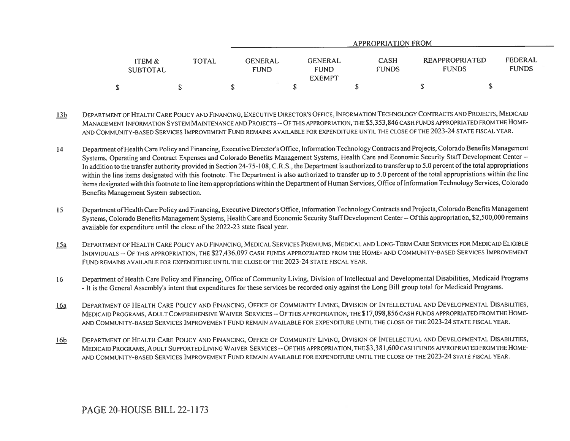|                           |              | <b>APPROPRIATION FROM</b>     |                                                |                             |                                       |                         |  |  |  |
|---------------------------|--------------|-------------------------------|------------------------------------------------|-----------------------------|---------------------------------------|-------------------------|--|--|--|
| ITEM &<br><b>SUBTOTAL</b> | <b>TOTAL</b> | <b>GENERAL</b><br><b>FUND</b> | <b>GENERAL</b><br><b>FUND</b><br><b>EXEMPT</b> | <b>CASH</b><br><b>FUNDS</b> | <b>REAPPROPRIATED</b><br><b>FUNDS</b> | FEDERAL<br><b>FUNDS</b> |  |  |  |
| \$                        |              |                               |                                                |                             |                                       | Ψ                       |  |  |  |

- 13b DEPARTMENT OF HEALTH CARE POLICY AND FINANCING, EXECUTIVE DIRECTOR'S OFFICE, INFORMATION TECHNOLOGY CONTRACTS AND PROJECTS, MEDICAID MANAGEMENT INFORMATION SYSTEM MAINTENANCE AND PROJECTS -- OF THIS APPROPRIATION, THE \$5,353,846 CASH FUNDS APPROPRIATED FROM THE HOME-AND COMMUNITY-BASED SERVICES IMPROVEMENT FUND REMAINS AVAILABLE FOR EXPENDITURE UNTIL THE CLOSE OF THE 2023-24 STATE FISCAL YEAR.
- 14 Department of Health Care Policy and Financing, Executive Director's Office, Information Technology Contracts and Projects, Colorado Benefits Management Systems, Operating and Contract Expenses and Colorado Benefits Management Systems, Health Care and Economic Security Staff Development Center -- In addition to the transfer authority provided in Section 24-75-108, C.R.S., the Department is authorized to transfer up to 5.0 percent of the total appropriations within the line items designated with this footnote. The Department is also authorized to transfer up to 5.0 percent of the total appropriations within the line items designated with this footnote to line item appropriations within the Department of Human Services, Office of Information Technology Services, Colorado Benefits Management System subsection.
- 15 Department of Health Care Policy and Financing, Executive Director's Office, Information Technology Contracts and Projects, Colorado Benefits Management Systems, Colorado Benefits Management Systems, Health Care and Economic Security Staff Development Center -- Of this appropriation, \$2,500,000 remains available for expenditure until the close of the 2022-23 state fiscal year.
- 15a DEPARTMENT OF HEALTH CARE POLICY AND FINANCING, MEDICAL SERVICES PREMIUMS, MEDICAL AND LONG-TERM CARE SERVICES FOR MEDICAID ELIGIBLE INDIVIDUALS -- OF THIS APPROPRIATION, THE \$27,436,097 CASH FUNDS APPROPRIATED FROM THE HOME- AND COMMUNITY-BASED SERVICES IMPROVEMENT FUND REMAINS AVAILABLE FOR EXPENDITURE UNTIL THE CLOSE OF THE 2023-24 STATE FISCAL YEAR.
- 16 Department of Health Care Policy and Financing, Office of Community Living, Division of Intellectual and Developmental Disabilities, Medicaid Programs - It is the General Assembly's intent that expenditures for these services be recorded only against the Long Bill group total for Medicaid Programs.
- 16a DEPARTMENT OF HEALTH CARE POLICY AND FINANCING, OFFICE OF COMMUNITY LIVING, DIVISION OF INTELLECTUAL AND DEVELOPMENTAL DISABILITIES, MEDICAID PROGRAMS, ADULT COMPREHENSIVE WAIVER SERVICES -- OF THIS APPROPRIATION, THE \$17,098,856 CASH FUNDS APPROPRIATED FROM THE HOME-AND COMMUNITY-BASED SERVICES IMPROVEMENT FUND REMAIN AVAILABLE FOR EXPENDITURE UNTIL THE CLOSE OF THE 2023-24 STATE FISCAL YEAR.
- 16b DEPARTMENT OF HEALTH CARE POLICY AND FINANCING, OFFICE OF COMMUNITY LIVING, DIVISION OF INTELLECTUAL AND DEVELOPMENTAL DISABILITIES, MEDICAID PROGRAMS, ADULT SUPPORTED LIVING WAIVER SERVICES -- OF THIS APPROPRIATION, THE \$3,381,600 CASH FUNDS APPROPRIATED FROM THE HOME-AND COMMUNITY-BASED SERVICES IMPROVEMENT FUND REMAIN AVAILABLE FOR EXPENDITURE UNTIL THE CLOSE OF THE 2023-24 STATE FISCAL YEAR.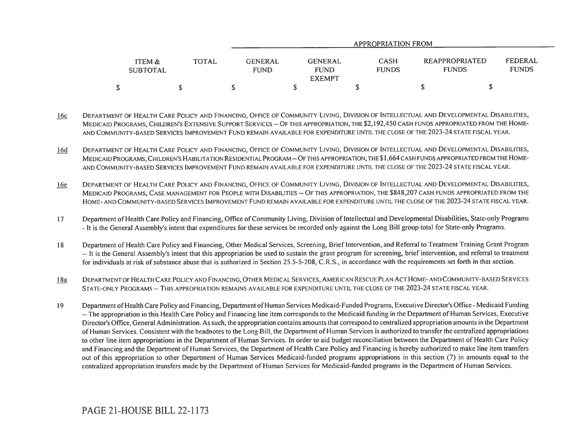|                           |              | APPROPRIATION FROM                                                       |                             |                                |                         |  |  |  |  |
|---------------------------|--------------|--------------------------------------------------------------------------|-----------------------------|--------------------------------|-------------------------|--|--|--|--|
| ITEM &<br><b>SUBTOTAL</b> | <b>TOTAL</b> | GENERAL<br><b>GENERAL</b><br><b>FUND</b><br><b>FUND</b><br><b>EXEMPT</b> | <b>CASH</b><br><b>FUNDS</b> | REAPPROPRIATED<br><b>FUNDS</b> | FEDERAL<br><b>FUNDS</b> |  |  |  |  |
| S                         |              |                                                                          |                             |                                |                         |  |  |  |  |

- 16c DEPARTMENT OF HEALTH CARE POLICY AND FINANCING, OFFICE OF COMMUNITY LIVING, DIVISION OF INTELLECTUAL AND DEVELOPMENTAL DISABILITIES, MEDICAID PROGRAMS, CHILDREN'S EXTENSIVE SUPPORT SERVICES -- OF THIS APPROPRIATION, THE \$2,192,450 CASH FUNDS APPROPRIATED FROM THE HOME-AND COMMUNITY-BASED SERVICES IMPROVEMENT FUND REMAIN AVAILABLE FOR EXPENDITURE UNTIL THE CLOSE OF THE 2023-24 STATE FISCAL YEAR.
- 16d DEPARTMENT OF HEALTH CARE POLICY AND FINANCING, OFFICE OF COMMUNITY LIVING, DIVISION OF INTELLECTUAL AND DEVELOPMENTAL DISABILITIES, MEDICAID PROGRAMS, CHILDREN'S HABILITATION RESIDENTIAL PROGRAM -- OF THIS APPROPRIATION, THE \$ 1,664 CASH FUNDS APPROPRIATED FROM THE HOME-AND COMMUNITY-BASED SERVICES IMPROVEMENT FUND REMAIN AVAILABLE FOR EXPENDITURE UNTIL THE CLOSE OF THE 2023-24 STATE FISCAL YEAR.
- 16e DEPARTMENT OF HEALTH CARE POLICY AND FINANCING, OFFICE OF COMMUNITY LIVING, DIVISION OF INTELLECTUAL AND DEVELOPMENTAL DISABILITIES, MEDICAID PROGRAMS, CASE MANAGEMENT FOR PEOPLE WITH DISABILITIES -- OF THIS APPROPRIATION, THE \$848,207 CASH FUNDS APPROPRIATED FROM THE HOME- AND COMMUNITY-BASED SERVICES IMPROVEMENT FUND REMAIN AVAILABLE FOR EXPENDITURE UNTIL THE CLOSE OF THE 2023-24 STATE FISCAL YEAR.
- 17 Department of Health Care Policy and Financing, Office of Community Living, Division of Intellectual and Developmental Disabilities, State-only Programs - It is the General Assembly's intent that expenditures for these services be recorded only against the Long Bill group total for State-only Programs.
- 18 Department of Health Care Policy and Financing, Other Medical Services, Screening, Brief Intervention, and Referral to Treatment Training Grant Program -- It is the General Assembly's intent that this appropriation be used to sustain the grant program for screening, brief intervention, and referral to treatment for individuals at risk of substance abuse that is authorized in Section 25.5-5-208, C.R.S., in accordance with the requirements set forth in that section.
- 18a DEPARTMENT OF HEALTH CARE POLICY AND FINANCING, OTHER MEDICAL SERVICES, AMERICAN RESCUE PLAN ACT HOME- AND COMMUNITY-BASED SERVICES STATE-ONLY PROGRAMS -- THIS APPROPRIATION REMAINS AVAILABLE FOR EXPENDITURE UNTIL THE CLOSE OF THE 2023-24 STATE FISCAL YEAR.
- 19 Department of Health Care Policy and Financing, Department of Human Services Medicaid-Funded Programs, Executive Director's Office Medicaid Funding -- The appropriation in this Health Care Policy and Financing line item corresponds to the Medicaid funding in the Department of Human Services, Executive Director's Office, General Administration. As such, the appropriation contains amounts that correspond to centralized appropriation amounts in the Department of Human Services. Consistent with the headnotes to the Long Bill, the Department of Human Services is authorized to transfer the centralized appropriations to other line item appropriations in the Department of Human Services. In order to aid budget reconciliation between the Department of Health Care Policy and Financing and the Department of Human Services, the Department of Health Care Policy and Financing is hereby authorized to make line item transfers out of this appropriation to other Department of Human Services Medicaid-funded programs appropriations in this section (7) in amounts equal to the centralized appropriation transfers made by the Department of Human Services for Medicaid-funded programs in the Department of Human Services.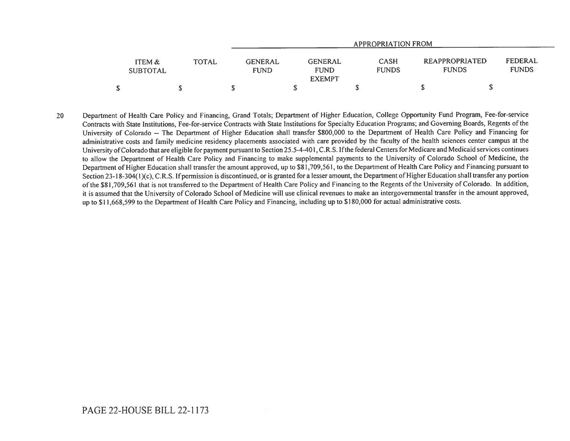|                           |       | APPROPRIATION FROM |                                                                   |                             |                                |                         |  |  |
|---------------------------|-------|--------------------|-------------------------------------------------------------------|-----------------------------|--------------------------------|-------------------------|--|--|
| ITEM &<br><b>SUBTOTAL</b> | TOTAL |                    | GENERAL<br>GENERAL<br><b>FUND</b><br><b>FUND</b><br><b>EXEMPT</b> | <b>CASH</b><br><b>FUNDS</b> | REAPPROPRIATED<br><b>FUNDS</b> | FEDERAL<br><b>FUNDS</b> |  |  |
| \$                        |       |                    |                                                                   |                             |                                |                         |  |  |

20 Department of Health Care Policy and Financing, Grand Totals; Department of Higher Education, College Opportunity Fund Program, Fee-for-service Contracts with State Institutions, Fee-for-service Contracts with State Institutions for Specialty Education Programs; and Governing Boards, Regents of the University of Colorado -- The Department of Higher Education shall transfer \$800,000 to the Department of Health Care Policy and Financing for administrative costs and family medicine residency placements associated with care provided by the faculty of the health sciences center campus at the University of Colorado that are eligible for payment pursuant to Section 25.5-4-401, C.R.S. If the federal Centers for Medicare and Medicaid services continues to allow the Department of Health Care Policy and Financing to make supplemental payments to the University of Colorado School of Medicine, the Department of Higher Education shall transfer the amount approved, up to \$81,709,561, to the Department of Health Care Policy and Financing pursuant to Section 23-18-304(1)(c), C.R.S. If permission is discontinued, or is granted for a lesser amount, the Department of Higher Education shall transfer any portion of the \$81,709,561 that is not transferred to the Department of Health Care Policy and Financing to the Regents of the University of Colorado. In addition, it is assumed that the University of Colorado School of Medicine will use clinical revenues to make an intergovernmental transfer in the amount approved, up to \$11,668,599 to the Department of Health Care Policy and Financing, including up to \$180,000 for actual administrative costs.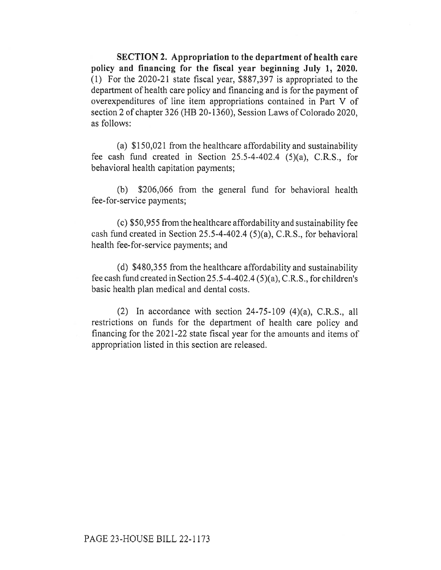SECTION 2. Appropriation to the department of health care policy and financing for the fiscal year beginning July 1, 2020. (1) For the 2020-21 state fiscal year, \$887,397 is appropriated to the department of health care policy and financing and is for the payment of overexpenditures of line item appropriations contained in Part V of section 2 of chapter 326 (HB 20-1360), Session Laws of Colorado 2020, as follows:

(a) \$150,021 from the healthcare affordability and sustainability fee cash fund created in Section 25.5-4-402.4 (5)(a), C.R.S., for behavioral health capitation payments;

(b) \$206,066 from the general fund for behavioral health fee-for-service payments;

(c) \$50,955 from the healthcare affordability and sustainability fee cash fund created in Section 25.5-4-402.4 (5)(a), C.R.S., for behavioral health fee-for-service payments; and

(d) \$480,355 from the healthcare affordability and sustainability fee cash fund created in Section 25.5-4-402.4 (5)(a), C.R.S., for children's basic health plan medical and dental costs.

(2) In accordance with section  $24-75-109$  (4)(a), C.R.S., all restrictions on funds for the department of health care policy and financing for the 2021-22 state fiscal year for the amounts and items of appropriation listed in this section are released.